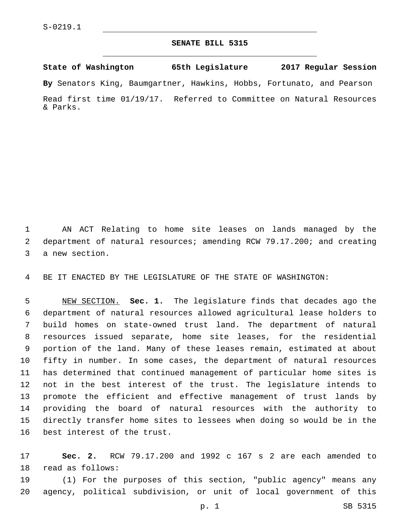## **SENATE BILL 5315**

**State of Washington 65th Legislature 2017 Regular Session**

**By** Senators King, Baumgartner, Hawkins, Hobbs, Fortunato, and Pearson

Read first time 01/19/17. Referred to Committee on Natural Resources & Parks.

 AN ACT Relating to home site leases on lands managed by the department of natural resources; amending RCW 79.17.200; and creating 3 a new section.

BE IT ENACTED BY THE LEGISLATURE OF THE STATE OF WASHINGTON:

 NEW SECTION. **Sec. 1.** The legislature finds that decades ago the department of natural resources allowed agricultural lease holders to build homes on state-owned trust land. The department of natural resources issued separate, home site leases, for the residential portion of the land. Many of these leases remain, estimated at about fifty in number. In some cases, the department of natural resources has determined that continued management of particular home sites is not in the best interest of the trust. The legislature intends to promote the efficient and effective management of trust lands by providing the board of natural resources with the authority to directly transfer home sites to lessees when doing so would be in the best interest of the trust.

 **Sec. 2.** RCW 79.17.200 and 1992 c 167 s 2 are each amended to 18 read as follows:

 (1) For the purposes of this section, "public agency" means any agency, political subdivision, or unit of local government of this